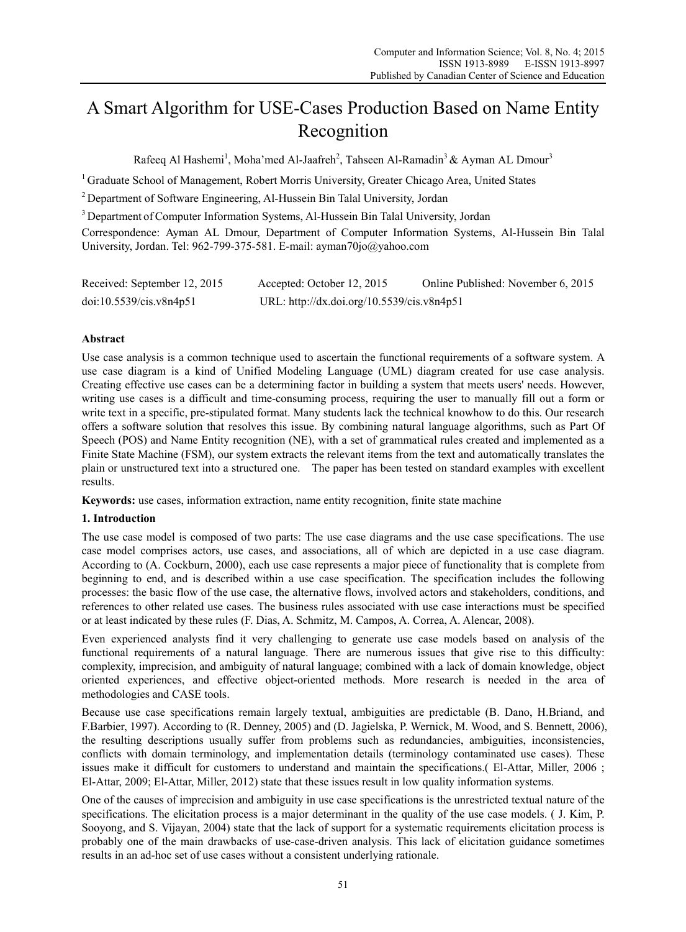# A Smart Algorithm for USE-Cases Production Based on Name Entity Recognition

Rafeeq Al Hashemi<sup>1</sup>, Moha'med Al-Jaafreh<sup>2</sup>, Tahseen Al-Ramadin<sup>3</sup> & Ayman AL Dmour<sup>3</sup>

<sup>1</sup> Graduate School of Management, Robert Morris University, Greater Chicago Area, United States

2 Department of Software Engineering, Al-Hussein Bin Talal University, Jordan

<sup>3</sup> Department of Computer Information Systems, Al-Hussein Bin Talal University, Jordan

Correspondence: Ayman AL Dmour, Department of Computer Information Systems, Al-Hussein Bin Talal University, Jordan. Tel: 962-799-375-581. E-mail: ayman70jo@yahoo.com

| Received: September 12, 2015 | Accepted: October 12, 2015                 | Online Published: November 6, 2015 |
|------------------------------|--------------------------------------------|------------------------------------|
| doi:10.5539/cis.v8n4p51      | URL: http://dx.doi.org/10.5539/cis.v8n4p51 |                                    |

# **Abstract**

Use case analysis is a common technique used to ascertain the functional requirements of a software system. A use case diagram is a kind of Unified Modeling Language (UML) diagram created for use case analysis. Creating effective use cases can be a determining factor in building a system that meets users' needs. However, writing use cases is a difficult and time-consuming process, requiring the user to manually fill out a form or write text in a specific, pre-stipulated format. Many students lack the technical knowhow to do this. Our research offers a software solution that resolves this issue. By combining natural language algorithms, such as Part Of Speech (POS) and Name Entity recognition (NE), with a set of grammatical rules created and implemented as a Finite State Machine (FSM), our system extracts the relevant items from the text and automatically translates the plain or unstructured text into a structured one. The paper has been tested on standard examples with excellent results.

**Keywords:** use cases, information extraction, name entity recognition, finite state machine

## **1. Introduction**

The use case model is composed of two parts: The use case diagrams and the use case specifications. The use case model comprises actors, use cases, and associations, all of which are depicted in a use case diagram. According to (A. Cockburn, 2000), each use case represents a major piece of functionality that is complete from beginning to end, and is described within a use case specification. The specification includes the following processes: the basic flow of the use case, the alternative flows, involved actors and stakeholders, conditions, and references to other related use cases. The business rules associated with use case interactions must be specified or at least indicated by these rules (F. Dias, A. Schmitz, M. Campos, A. Correa, A. Alencar, 2008).

Even experienced analysts find it very challenging to generate use case models based on analysis of the functional requirements of a natural language. There are numerous issues that give rise to this difficulty: complexity, imprecision, and ambiguity of natural language; combined with a lack of domain knowledge, object oriented experiences, and effective object-oriented methods. More research is needed in the area of methodologies and CASE tools.

Because use case specifications remain largely textual, ambiguities are predictable (B. Dano, H.Briand, and F.Barbier, 1997). According to (R. Denney, 2005) and (D. Jagielska, P. Wernick, M. Wood, and S. Bennett, 2006), the resulting descriptions usually suffer from problems such as redundancies, ambiguities, inconsistencies, conflicts with domain terminology, and implementation details (terminology contaminated use cases). These issues make it difficult for customers to understand and maintain the specifications.( El-Attar, Miller, 2006 ; El-Attar, 2009; El-Attar, Miller, 2012) state that these issues result in low quality information systems.

One of the causes of imprecision and ambiguity in use case specifications is the unrestricted textual nature of the specifications. The elicitation process is a major determinant in the quality of the use case models. ( J. Kim, P. Sooyong, and S. Vijayan, 2004) state that the lack of support for a systematic requirements elicitation process is probably one of the main drawbacks of use-case-driven analysis. This lack of elicitation guidance sometimes results in an ad-hoc set of use cases without a consistent underlying rationale.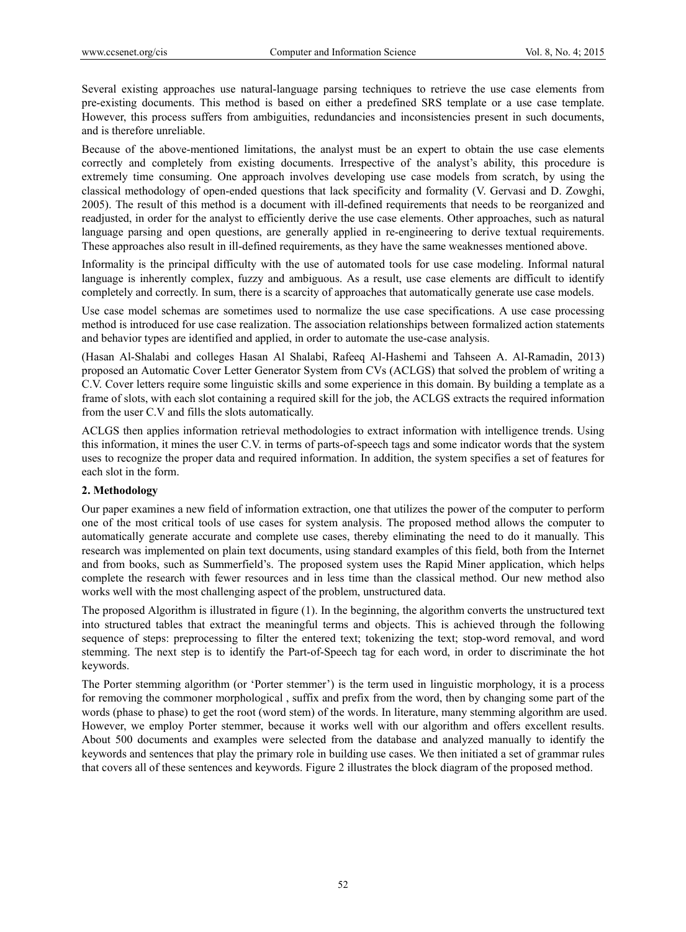Several existing approaches use natural-language parsing techniques to retrieve the use case elements from pre-existing documents. This method is based on either a predefined SRS template or a use case template. However, this process suffers from ambiguities, redundancies and inconsistencies present in such documents, and is therefore unreliable.

Because of the above-mentioned limitations, the analyst must be an expert to obtain the use case elements correctly and completely from existing documents. Irrespective of the analyst's ability, this procedure is extremely time consuming. One approach involves developing use case models from scratch, by using the classical methodology of open-ended questions that lack specificity and formality (V. Gervasi and D. Zowghi, 2005). The result of this method is a document with ill-defined requirements that needs to be reorganized and readjusted, in order for the analyst to efficiently derive the use case elements. Other approaches, such as natural language parsing and open questions, are generally applied in re-engineering to derive textual requirements. These approaches also result in ill-defined requirements, as they have the same weaknesses mentioned above.

Informality is the principal difficulty with the use of automated tools for use case modeling. Informal natural language is inherently complex, fuzzy and ambiguous. As a result, use case elements are difficult to identify completely and correctly. In sum, there is a scarcity of approaches that automatically generate use case models.

Use case model schemas are sometimes used to normalize the use case specifications. A use case processing method is introduced for use case realization. The association relationships between formalized action statements and behavior types are identified and applied, in order to automate the use-case analysis.

(Hasan Al-Shalabi and colleges Hasan Al Shalabi, Rafeeq Al-Hashemi and Tahseen A. Al-Ramadin, 2013) proposed an Automatic Cover Letter Generator System from CVs (ACLGS) that solved the problem of writing a C.V. Cover letters require some linguistic skills and some experience in this domain. By building a template as a frame of slots, with each slot containing a required skill for the job, the ACLGS extracts the required information from the user C.V and fills the slots automatically.

ACLGS then applies information retrieval methodologies to extract information with intelligence trends. Using this information, it mines the user C.V. in terms of parts-of-speech tags and some indicator words that the system uses to recognize the proper data and required information. In addition, the system specifies a set of features for each slot in the form.

#### **2. Methodology**

Our paper examines a new field of information extraction, one that utilizes the power of the computer to perform one of the most critical tools of use cases for system analysis. The proposed method allows the computer to automatically generate accurate and complete use cases, thereby eliminating the need to do it manually. This research was implemented on plain text documents, using standard examples of this field, both from the Internet and from books, such as Summerfield's. The proposed system uses the Rapid Miner application, which helps complete the research with fewer resources and in less time than the classical method. Our new method also works well with the most challenging aspect of the problem, unstructured data.

The proposed Algorithm is illustrated in figure (1). In the beginning, the algorithm converts the unstructured text into structured tables that extract the meaningful terms and objects. This is achieved through the following sequence of steps: preprocessing to filter the entered text; tokenizing the text; stop-word removal, and word stemming. The next step is to identify the Part-of-Speech tag for each word, in order to discriminate the hot keywords.

The Porter stemming algorithm (or 'Porter stemmer') is the term used in linguistic morphology, it is a process for removing the commoner morphological , suffix and prefix from the word, then by changing some part of the words (phase to phase) to get the root (word stem) of the words. In literature, many stemming algorithm are used. However, we employ Porter stemmer, because it works well with our algorithm and offers excellent results. About 500 documents and examples were selected from the database and analyzed manually to identify the keywords and sentences that play the primary role in building use cases. We then initiated a set of grammar rules that covers all of these sentences and keywords. Figure 2 illustrates the block diagram of the proposed method.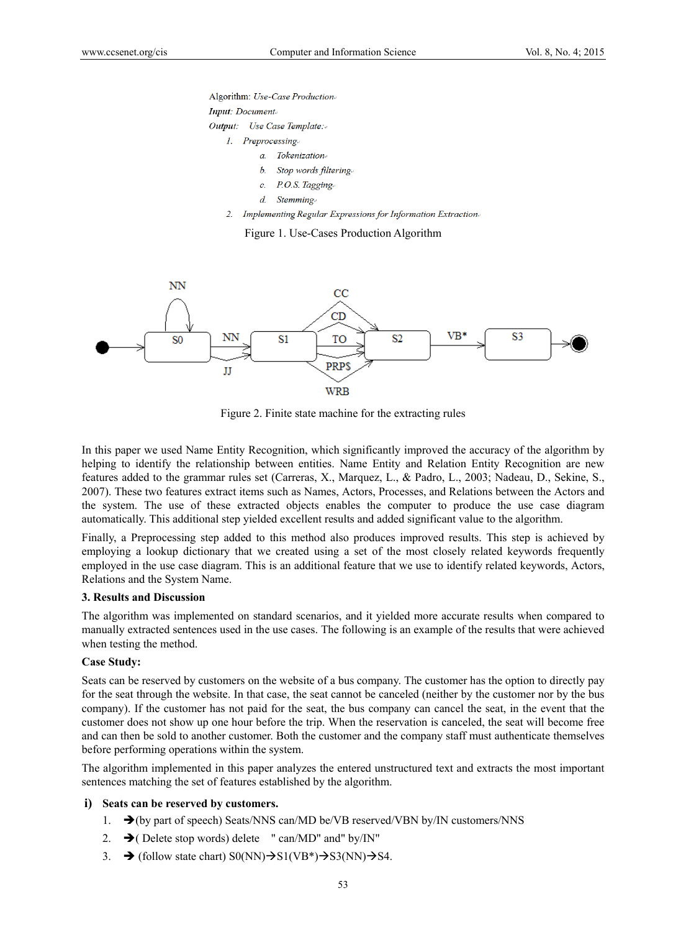Algorithm: Use-Case Production-**Input:** Document

Output: Use Case Template:

1. Preprocessing.

- a. Tokenization.
- b. Stop words filtering.
- c. P.O.S. Tagging.
- d. Stemming
- 2. Implementing Regular Expressions for Information Extraction.

Figure 1. Use-Cases Production Algorithm



Figure 2. Finite state machine for the extracting rules

In this paper we used Name Entity Recognition, which significantly improved the accuracy of the algorithm by helping to identify the relationship between entities. Name Entity and Relation Entity Recognition are new features added to the grammar rules set (Carreras, X., Marquez, L., & Padro, L., 2003; Nadeau, D., Sekine, S., 2007). These two features extract items such as Names, Actors, Processes, and Relations between the Actors and the system. The use of these extracted objects enables the computer to produce the use case diagram automatically. This additional step yielded excellent results and added significant value to the algorithm.

Finally, a Preprocessing step added to this method also produces improved results. This step is achieved by employing a lookup dictionary that we created using a set of the most closely related keywords frequently employed in the use case diagram. This is an additional feature that we use to identify related keywords, Actors, Relations and the System Name.

#### **3. Results and Discussion**

The algorithm was implemented on standard scenarios, and it yielded more accurate results when compared to manually extracted sentences used in the use cases. The following is an example of the results that were achieved when testing the method.

### **Case Study:**

Seats can be reserved by customers on the website of a bus company. The customer has the option to directly pay for the seat through the website. In that case, the seat cannot be canceled (neither by the customer nor by the bus company). If the customer has not paid for the seat, the bus company can cancel the seat, in the event that the customer does not show up one hour before the trip. When the reservation is canceled, the seat will become free and can then be sold to another customer. Both the customer and the company staff must authenticate themselves before performing operations within the system.

The algorithm implemented in this paper analyzes the entered unstructured text and extracts the most important sentences matching the set of features established by the algorithm.

#### **i) Seats can be reserved by customers.**

- 1.  $\rightarrow$  (by part of speech) Seats/NNS can/MD be/VB reserved/VBN by/IN customers/NNS
- 2.  $\rightarrow$  (Delete stop words) delete " can/MD" and " by/IN"
- 3.  $\rightarrow$  (follow state chart) S0(NN) $\rightarrow$ S1(VB\*) $\rightarrow$ S3(NN) $\rightarrow$ S4.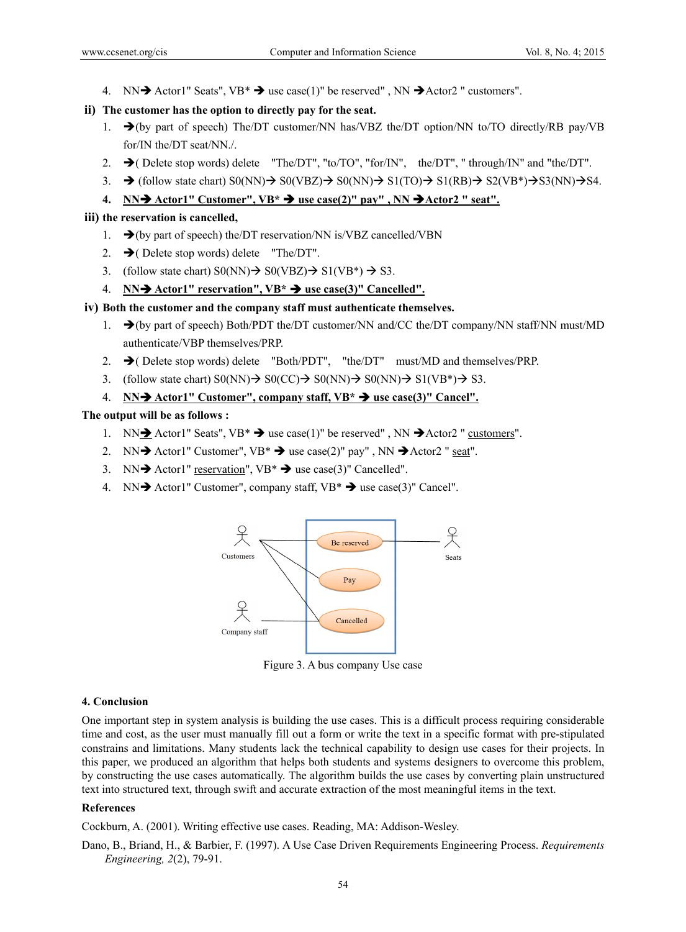4. NN  $\rightarrow$  Actor1" Seats", VB\*  $\rightarrow$  use case(1)" be reserved", NN  $\rightarrow$  Actor2 " customers".

# **ii) The customer has the option to directly pay for the seat.**

- 1.  $\rightarrow$  (by part of speech) The/DT customer/NN has/VBZ the/DT option/NN to/TO directly/RB pay/VB for/IN the/DT seat/NN./.
- 2.  $\rightarrow$  ( Delete stop words) delete "The/DT", "to/TO", "for/IN", the/DT", " through/IN" and "the/DT".
- 3.  $\rightarrow$  (follow state chart) S0(NN)  $\rightarrow$  S0(VBZ)  $\rightarrow$  S0(NN)  $\rightarrow$  S1(TO)  $\rightarrow$  S1(RB)  $\rightarrow$  S2(VB\*) $\rightarrow$  S3(NN)  $\rightarrow$  S4.
- **4. NN Actor1" Customer", VB\* use case(2)" pay" , NN Actor2 " seat".**

# **iii) the reservation is cancelled,**

- 1.  $\rightarrow$  (by part of speech) the/DT reservation/NN is/VBZ cancelled/VBN
- 2.  $\rightarrow$  (Delete stop words) delete "The/DT".
- 3. (follow state chart)  $SO(NN) \rightarrow SO(VBZ) \rightarrow SU(VB^*) \rightarrow S3$ .
- 4. **NN Actor1" reservation", VB\* use case(3)" Cancelled".**

**iv) Both the customer and the company staff must authenticate themselves.** 

- 1.  $\rightarrow$  (by part of speech) Both/PDT the/DT customer/NN and/CC the/DT company/NN staff/NN must/MD authenticate/VBP themselves/PRP.
- 2.  $\rightarrow$  ( Delete stop words) delete "Both/PDT", "the/DT" must/MD and themselves/PRP.
- 3. (follow state chart)  $\text{SO}(NN) \rightarrow \text{SO}(CC) \rightarrow \text{SO}(NN) \rightarrow \text{SO}(NN) \rightarrow \text{SU}(VB^*) \rightarrow \text{S3}.$
- 4. **NN Actor1" Customer", company staff, VB\* use case(3)" Cancel".**

# **The output will be as follows :**

- 1. NN $\rightarrow$  Actor1" Seats", VB\*  $\rightarrow$  use case(1)" be reserved", NN  $\rightarrow$  Actor2 " customers".
- 2. NN Actor1" Customer",  $VB^*$  ase case(2)" pay", NN Actor2 " seat".
- 3.  $NN \rightarrow$  Actor1" reservation",  $VB^* \rightarrow$  use case(3)" Cancelled".
- 4. NN  $\rightarrow$  Actor1" Customer", company staff, VB\*  $\rightarrow$  use case(3)" Cancel".



Figure 3. A bus company Use case

## **4. Conclusion**

One important step in system analysis is building the use cases. This is a difficult process requiring considerable time and cost, as the user must manually fill out a form or write the text in a specific format with pre-stipulated constrains and limitations. Many students lack the technical capability to design use cases for their projects. In this paper, we produced an algorithm that helps both students and systems designers to overcome this problem, by constructing the use cases automatically. The algorithm builds the use cases by converting plain unstructured text into structured text, through swift and accurate extraction of the most meaningful items in the text.

# **References**

Cockburn, A. (2001). Writing effective use cases. Reading, MA: Addison-Wesley.

Dano, B., Briand, H., & Barbier, F. (1997). A Use Case Driven Requirements Engineering Process. *Requirements Engineering, 2*(2), 79-91.